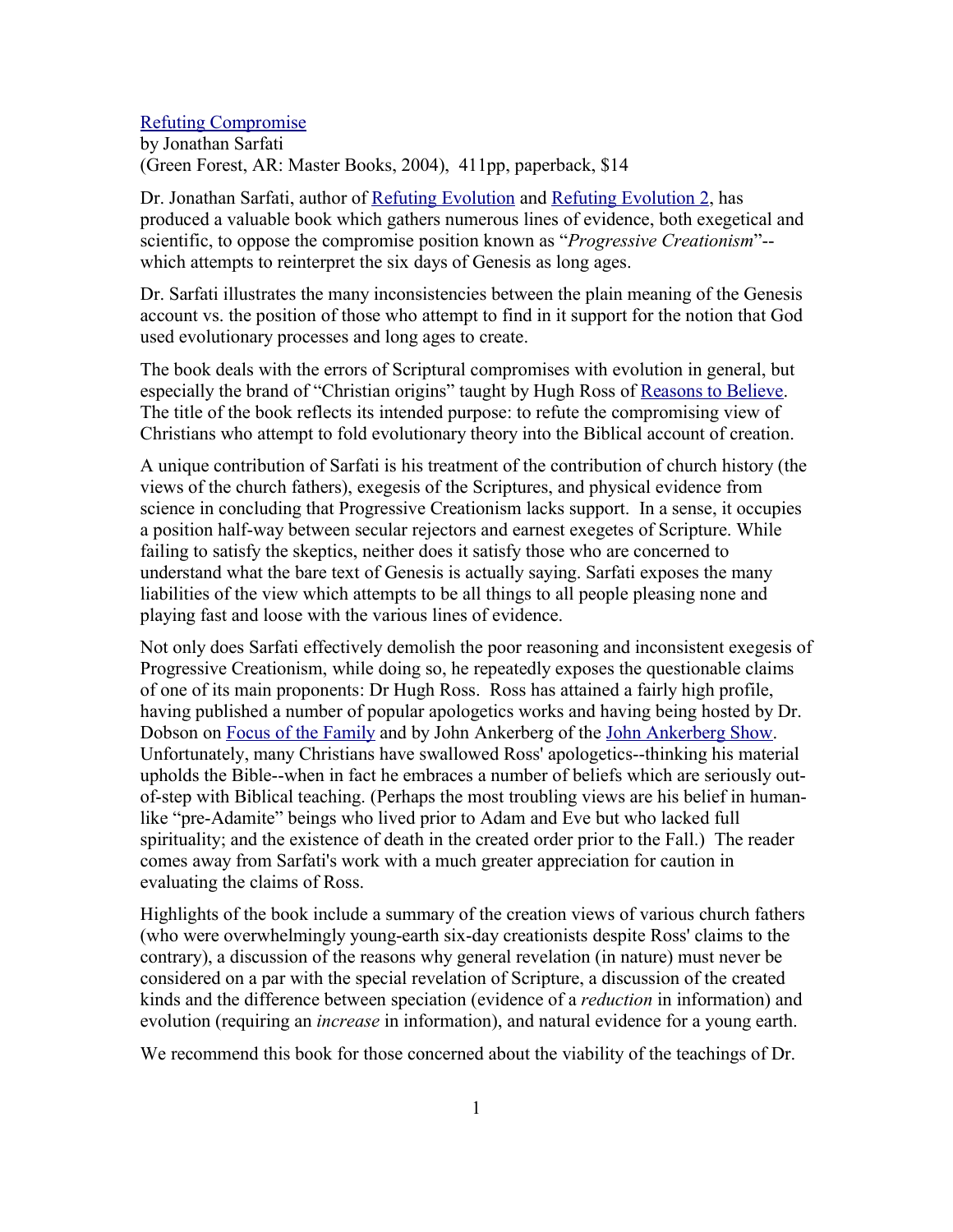## Refuting Compromise

by Jonathan Sarfati (Green Forest, AR: Master Books, 2004), 411pp, paperback, \$14

Dr. Jonathan Sarfati, author of Refuting Evolution and Refuting Evolution 2, has produced a valuable book which gathers numerous lines of evidence, both exegetical and scientific, to oppose the compromise position known as "*Progressive Creationism*"- which attempts to reinterpret the six days of Genesis as long ages.

Dr. Sarfati illustrates the many inconsistencies between the plain meaning of the Genesis account vs. the position of those who attempt to find in it support for the notion that God used evolutionary processes and long ages to create.

The book deals with the errors of Scriptural compromises with evolution in general, but especially the brand of "Christian origins" taught by Hugh Ross of Reasons to Believe. The title of the book reflects its intended purpose: to refute the compromising view of Christians who attempt to fold evolutionary theory into the Biblical account of creation.

A unique contribution of Sarfati is his treatment of the contribution of church history (the views of the church fathers), exegesis of the Scriptures, and physical evidence from science in concluding that Progressive Creationism lacks support. In a sense, it occupies a position half-way between secular rejectors and earnest exegetes of Scripture. While failing to satisfy the skeptics, neither does it satisfy those who are concerned to understand what the bare text of Genesis is actually saying. Sarfati exposes the many liabilities of the view which attempts to be all things to all people pleasing none and playing fast and loose with the various lines of evidence.

Not only does Sarfati effectively demolish the poor reasoning and inconsistent exegesis of Progressive Creationism, while doing so, he repeatedly exposes the questionable claims of one of its main proponents: Dr Hugh Ross. Ross has attained a fairly high profile, having published a number of popular apologetics works and having being hosted by Dr. Dobson on Focus of the Family and by John Ankerberg of the John Ankerberg Show. Unfortunately, many Christians have swallowed Ross' apologetics--thinking his material upholds the Bible--when in fact he embraces a number of beliefs which are seriously outof-step with Biblical teaching. (Perhaps the most troubling views are his belief in humanlike "pre-Adamite" beings who lived prior to Adam and Eve but who lacked full spirituality; and the existence of death in the created order prior to the Fall.) The reader comes away from Sarfati's work with a much greater appreciation for caution in evaluating the claims of Ross.

Highlights of the book include a summary of the creation views of various church fathers (who were overwhelmingly young-earth six-day creationists despite Ross' claims to the contrary), a discussion of the reasons why general revelation (in nature) must never be considered on a par with the special revelation of Scripture, a discussion of the created kinds and the difference between speciation (evidence of a *reduction* in information) and evolution (requiring an *increase* in information), and natural evidence for a young earth.

We recommend this book for those concerned about the viability of the teachings of Dr.